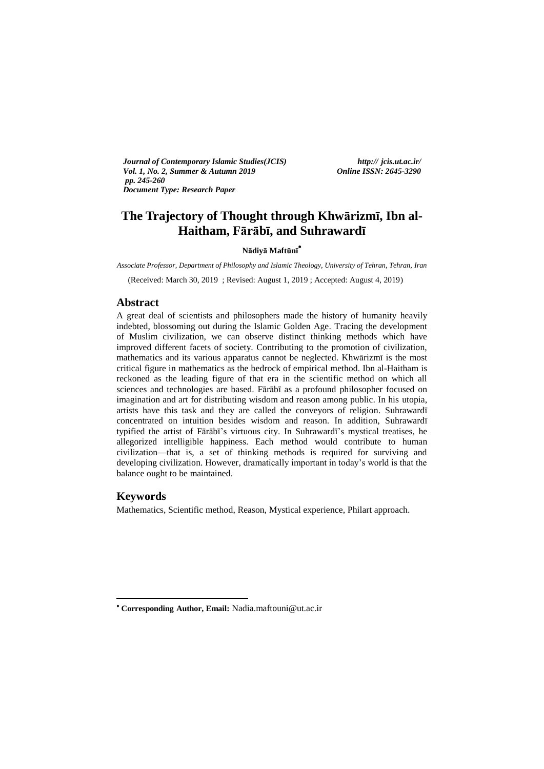*Journal of Contemporary Islamic Studies(JCIS) http:// jcis.ut.ac.ir/ Vol. 1, No. 2, Summer & Autumn 2019 Online ISSN: 2645-3290 pp. 245-260 Document Type: Research Paper* 

# **The Trajectory of Thought through Khwārizmī, Ibn al-Haitham, Fārābī, and Suhrawardī**

# **Nādiyā Maftūnī**

*Associate Professor, Department of Philosophy and Islamic Theology, University of Tehran, Tehran, Iran*

(Received: March 30, 2019 ; Revised: August 1, 2019 ; Accepted: August 4, 2019)

# **Abstract**

A great deal of scientists and philosophers made the history of humanity heavily indebted, blossoming out during the Islamic Golden Age. Tracing the development of Muslim civilization, we can observe distinct thinking methods which have improved different facets of society. Contributing to the promotion of civilization, mathematics and its various apparatus cannot be neglected. Khwārizmī is the most critical figure in mathematics as the bedrock of empirical method. Ibn al-Haitham is reckoned as the leading figure of that era in the scientific method on which all sciences and technologies are based. Fārābī as a profound philosopher focused on imagination and art for distributing wisdom and reason among public. In his utopia, artists have this task and they are called the conveyors of religion. Suhrawardī concentrated on intuition besides wisdom and reason. In addition, Suhrawardī typified the artist of Fārābī's virtuous city. In Suhrawardī's mystical treatises, he allegorized intelligible happiness. Each method would contribute to human civilization—that is, a set of thinking methods is required for surviving and developing civilization. However, dramatically important in today's world is that the balance ought to be maintained.

# **Keywords**

1

Mathematics, Scientific method, Reason, Mystical experience, Philart approach.

**Corresponding Author, Email:** Nadia.maftouni@ut.ac.ir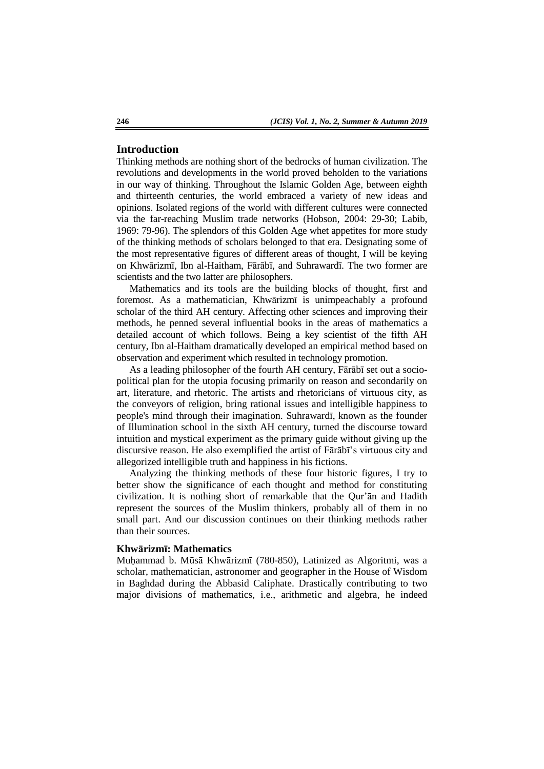# **Introduction**

Thinking methods are nothing short of the bedrocks of human civilization. The revolutions and developments in the world proved beholden to the variations in our way of thinking. Throughout the Islamic Golden Age, between eighth and thirteenth centuries, the world embraced a variety of new ideas and opinions. Isolated regions of the world with different cultures were connected via the far-reaching Muslim trade networks (Hobson, 2004: 29-30; Labib, 1969: 79-96). The splendors of this Golden Age whet appetites for more study of the thinking methods of scholars belonged to that era. Designating some of the most representative figures of different areas of thought, I will be keying on Khwārizmī, Ibn al-Haitham, Fārābī, and Suhrawardī. The two former are scientists and the two latter are philosophers.

Mathematics and its tools are the building blocks of thought, first and foremost. As a mathematician, Khwārizmī is unimpeachably a profound scholar of the third AH century. Affecting other sciences and improving their methods, he penned several influential books in the areas of mathematics a detailed account of which follows. Being a key scientist of the fifth AH century, Ibn al-Haitham dramatically developed an empirical method based on observation and experiment which resulted in technology promotion.

As a leading philosopher of the fourth AH century, Fārābī set out a sociopolitical plan for the utopia focusing primarily on reason and secondarily on art, literature, and rhetoric. The artists and rhetoricians of virtuous city, as the conveyors of religion, bring rational issues and intelligible happiness to people's mind through their imagination. Suhrawardī, known as the founder of Illumination school in the sixth AH century, turned the discourse toward intuition and mystical experiment as the primary guide without giving up the discursive reason. He also exemplified the artist of Fārābī's virtuous city and allegorized intelligible truth and happiness in his fictions.

Analyzing the thinking methods of these four historic figures, I try to better show the significance of each thought and method for constituting civilization. It is nothing short of remarkable that the Qur'ān and Hadith represent the sources of the Muslim thinkers, probably all of them in no small part. And our discussion continues on their thinking methods rather than their sources.

#### **Khwārizmī: Mathematics**

Muḥammad b. Mūsā Khwārizmī (780-850), Latinized as Algoritmi, was a scholar, mathematician, astronomer and geographer in the House of Wisdom in Baghdad during the Abbasid Caliphate. Drastically contributing to two major divisions of mathematics, i.e., arithmetic and algebra, he indeed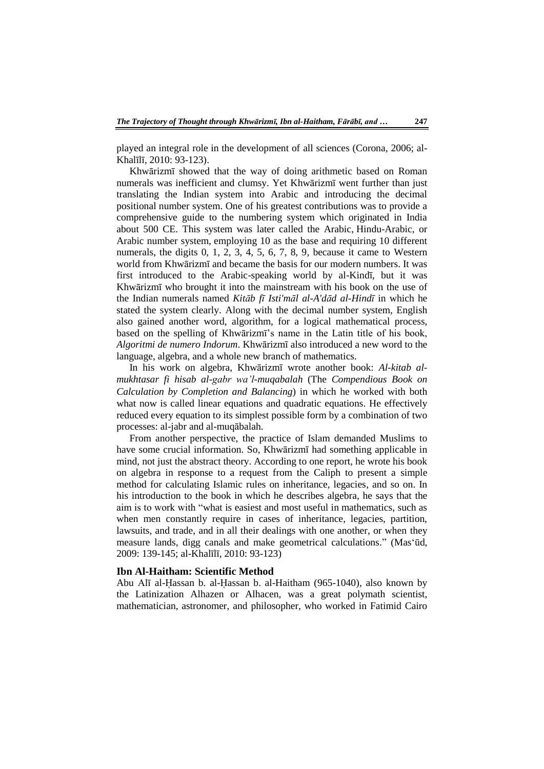played an integral role in the development of all sciences (Corona, 2006; al-Khalīlī, 2010: 93-123).

Khwārizmī showed that the way of doing arithmetic based on Roman numerals was inefficient and clumsy. Yet Khwārizmī went further than just translating the Indian system into Arabic and introducing the decimal positional number system. One of his greatest contributions was to provide a comprehensive guide to the numbering system which originated in India about 500 CE. This system was later called the Arabic, Hindu-Arabic, or Arabic number system, employing 10 as the base and requiring 10 different numerals, the digits 0, 1, 2, 3, 4, 5, 6, 7, 8, 9, because it came to Western world from Khwārizmī and became the basis for our modern numbers. It was first introduced to the Arabic-speaking world by al-Kindī, but it was Khwārizmī who brought it into the mainstream with his book on the use of the Indian numerals named *Kitāb fī Isti'māl al-A'dād al-Hindī* in which he stated the system clearly. Along with the decimal number system, English also gained another word, algorithm, for a logical mathematical process, based on the spelling of Khwārizmī's name in the Latin title of his book, *Algoritmi de numero Indorum*. Khwārizmī also introduced a new word to the language, algebra, and a whole new branch of mathematics.

In his work on algebra, Khwārizmī wrote another book: *Al-kitab almukhtasar fi hisab al-gabr wa'l-muqabalah* (The *Compendious Book on Calculation by Completion and Balancing*) in which he worked with both what now is called linear equations and quadratic equations. He effectively reduced every equation to its simplest possible form by a combination of two processes: al-jabr and al-muqābalah.

From another perspective, the practice of Islam demanded Muslims to have some crucial information. So, Khwārizmī had something applicable in mind, not just the abstract theory. According to one report, he wrote his book on algebra in response to a request from the Caliph to present a simple method for calculating Islamic rules on inheritance, legacies, and so on. In his introduction to the book in which he describes algebra, he says that the aim is to work with "what is easiest and most useful in mathematics, such as when men constantly require in cases of inheritance, legacies, partition, lawsuits, and trade, and in all their dealings with one another, or when they measure lands, digg canals and make geometrical calculations." (Mas'ūd, 2009: 139-145; al-Khalīlī, 2010: 93-123)

#### **Ibn Al-Haitham: Scientific Method**

Abu Alī al-Ḥassan b. al-Ḥassan b. al-Haitham (965-1040), also known by the Latinization Alhazen or Alhacen, was a great polymath scientist, mathematician, astronomer, and philosopher, who worked in Fatimid Cairo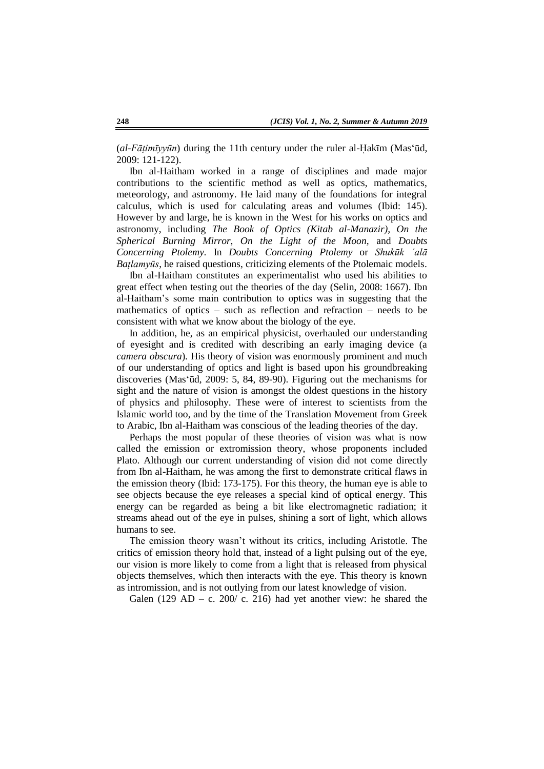(*al-Fātimīyyūn*) during the 11th century under the ruler al-Hakīm (Mas'ūd, 2009: 121-122).

Ibn al-Haitham worked in a range of disciplines and made major contributions to the scientific method as well as optics, mathematics, meteorology, and astronomy. He laid many of the foundations for integral calculus, which is used for calculating areas and volumes (Ibid: 145). However by and large, he is known in the West for his works on optics and astronomy, including *The Book of Optics (Kitab al-Manazir), On the Spherical Burning Mirror, On the Light of the Moon,* and *Doubts Concerning Ptolemy.* In *Doubts Concerning Ptolemy* or *Shukūk ʿalā Baṭlamyūs*, he raised questions, criticizing elements of the Ptolemaic models.

Ibn al-Haitham constitutes an experimentalist who used his abilities to great effect when testing out the theories of the day (Selin, 2008: 1667). Ibn al-Haitham's some main contribution to optics was in suggesting that the mathematics of optics – such as reflection and refraction – needs to be consistent with what we know about the biology of the eye.

In addition, he, as an empirical physicist, overhauled our understanding of eyesight and is credited with describing an early imaging device (a *camera obscura*)*.* His theory of vision was enormously prominent and much of our understanding of optics and light is based upon his groundbreaking discoveries (Mas‗ūd, 2009: 5, 84, 89-90). Figuring out the mechanisms for sight and the nature of vision is amongst the oldest questions in the history of physics and philosophy. These were of interest to scientists from the Islamic world too, and by the time of the Translation Movement from Greek to Arabic, Ibn al-Haitham was conscious of the leading theories of the day.

Perhaps the most popular of these theories of vision was what is now called the emission or extromission theory, whose proponents included Plato. Although our current understanding of vision did not come directly from Ibn al-Haitham, he was among the first to demonstrate critical flaws in the emission theory (Ibid: 173-175). For this theory, the human eye is able to see objects because the eye releases a special kind of optical energy. This energy can be regarded as being a bit like electromagnetic radiation; it streams ahead out of the eye in pulses, shining a sort of light, which allows humans to see.

The emission theory wasn't without its critics, including Aristotle. The critics of emission theory hold that, instead of a light pulsing out of the eye, our vision is more likely to come from a light that is released from physical objects themselves, which then interacts with the eye. This theory is known as intromission*,* and is not outlying from our latest knowledge of vision.

Galen (129 AD – c. 200/ c. 216) had yet another view: he shared the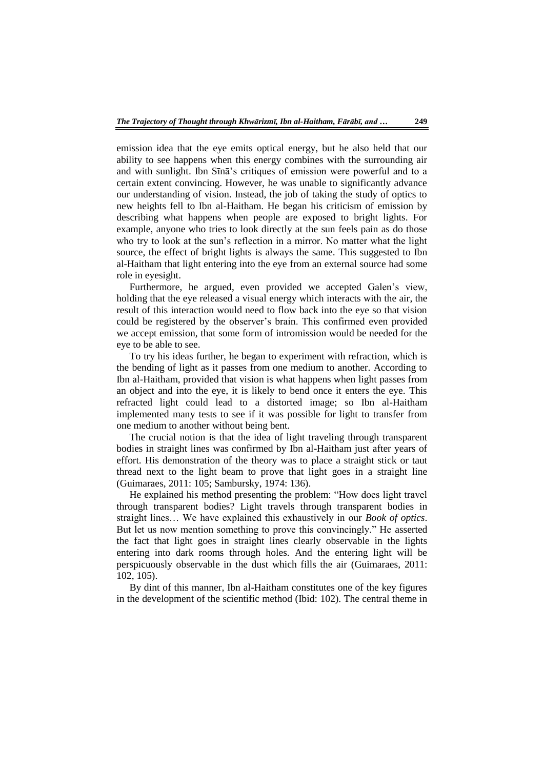emission idea that the eye emits optical energy, but he also held that our ability to see happens when this energy combines with the surrounding air and with sunlight. Ibn Sīnā's critiques of emission were powerful and to a certain extent convincing. However, he was unable to significantly advance our understanding of vision. Instead, the job of taking the study of optics to new heights fell to Ibn al-Haitham. He began his criticism of emission by describing what happens when people are exposed to bright lights. For example, anyone who tries to look directly at the sun feels pain as do those who try to look at the sun's reflection in a mirror. No matter what the light source, the effect of bright lights is always the same. This suggested to Ibn al-Haitham that light entering into the eye from an external source had some role in eyesight.

Furthermore, he argued, even provided we accepted Galen's view, holding that the eye released a visual energy which interacts with the air, the result of this interaction would need to flow back into the eye so that vision could be registered by the observer's brain. This confirmed even provided we accept emission, that some form of intromission would be needed for the eye to be able to see.

To try his ideas further, he began to experiment with refraction, which is the bending of light as it passes from one medium to another. According to Ibn al-Haitham, provided that vision is what happens when light passes from an object and into the eye, it is likely to bend once it enters the eye. This refracted light could lead to a distorted image; so Ibn al-Haitham implemented many tests to see if it was possible for light to transfer from one medium to another without being bent.

The crucial notion is that the idea of light traveling through transparent bodies in straight lines was confirmed by Ibn al-Haitham just after years of effort. His demonstration of the theory was to place a straight stick or taut thread next to the light beam to prove that light goes in a straight line (Guimaraes, 2011: 105; Sambursky, 1974: 136).

He explained his method presenting the problem: "How does light travel through transparent bodies? Light travels through transparent bodies in straight lines… We have explained this exhaustively in our *Book of optics*. But let us now mention something to prove this convincingly." He asserted the fact that light goes in straight lines clearly observable in the lights entering into dark rooms through holes. And the entering light will be perspicuously observable in the dust which fills the air (Guimaraes, 2011: 102, 105).

By dint of this manner, Ibn al-Haitham constitutes one of the key figures in the development of the scientific method (Ibid: 102). The central theme in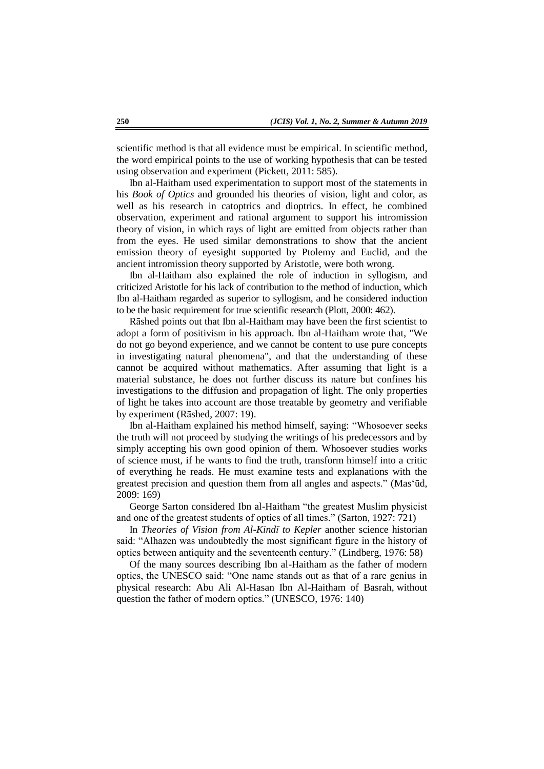scientific method is that all evidence must be empirical. In scientific method, the word empirical points to the use of working hypothesis that can be tested using observation and experiment (Pickett, 2011: 585).

Ibn al-Haitham used experimentation to support most of the statements in his *Book of Optics* and grounded his theories of vision, light and color, as well as his research in catoptrics and dioptrics. In effect, he combined observation, experiment and rational argument to support his intromission theory of vision, in which rays of light are emitted from objects rather than from the eyes. He used similar demonstrations to show that the ancient emission theory of eyesight supported by Ptolemy and Euclid, and the ancient intromission theory supported by Aristotle, were both wrong.

Ibn al-Haitham also explained the role of induction in syllogism, and criticized Aristotle for his lack of contribution to the method of induction, which Ibn al-Haitham regarded as superior to syllogism, and he considered induction to be the basic requirement for true scientific research (Plott, 2000: 462).

Rāshed points out that Ibn al-Haitham may have been the first scientist to adopt a form of positivism in his approach. Ibn al-Haitham wrote that, "We do not go beyond experience, and we cannot be content to use pure concepts in investigating natural phenomena", and that the understanding of these cannot be acquired without mathematics. After assuming that light is a material substance, he does not further discuss its nature but confines his investigations to the diffusion and propagation of light. The only properties of light he takes into account are those treatable by geometry and verifiable by experiment (Rāshed, 2007: 19).

Ibn al-Haitham explained his method himself, saying: "Whosoever seeks" the truth will not proceed by studying the writings of his predecessors and by simply accepting his own good opinion of them. Whosoever studies works of science must, if he wants to find the truth, transform himself into a critic of everything he reads. He must examine tests and explanations with the greatest precision and question them from all angles and aspects." (Mas'ūd, 2009: 169)

George Sarton considered Ibn al-Haitham "the greatest Muslim physicist and one of the greatest students of optics of all times." (Sarton, 1927: 721)

In *Theories of Vision from Al-Kindī to Kepler* another science historian said: "Alhazen was undoubtedly the most significant figure in the history of optics between antiquity and the seventeenth century.‖ (Lindberg, 1976: 58)

Of the many sources describing Ibn al-Haitham as the father of modern optics, the UNESCO said: "One name stands out as that of a rare genius in physical research: Abu Ali Al-Hasan Ibn Al-Haitham of Basrah, without question the father of modern optics." (UNESCO, 1976: 140)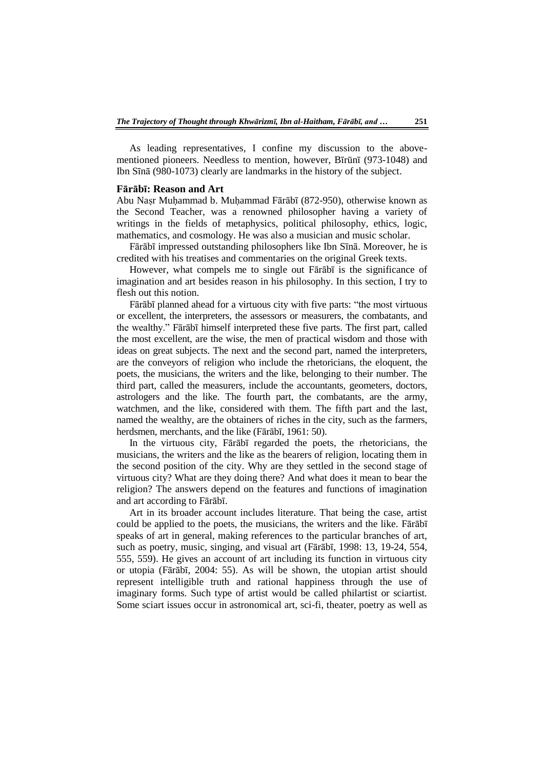As leading representatives, I confine my discussion to the abovementioned pioneers. Needless to mention, however, Bīrūnī (973-1048) and Ibn Sīnā (980-1073) clearly are landmarks in the history of the subject.

#### **Fārābī: Reason and Art**

Abu Naṣr Muḥammad b. Muḥammad Fārābī (872-950), otherwise known as the Second Teacher, was a renowned philosopher having a variety of writings in the fields of metaphysics, political philosophy, ethics, logic, mathematics, and cosmology. He was also a musician and music scholar.

Fārābī impressed outstanding philosophers like Ibn Sīnā. Moreover, he is credited with his treatises and commentaries on the original Greek texts.

However, what compels me to single out Fārābī is the significance of imagination and art besides reason in his philosophy. In this section, I try to flesh out this notion.

Fārābī planned ahead for a virtuous city with five parts: "the most virtuous or excellent, the interpreters, the assessors or measurers, the combatants, and the wealthy.‖ Fārābī himself interpreted these five parts. The first part, called the most excellent, are the wise, the men of practical wisdom and those with ideas on great subjects. The next and the second part, named the interpreters, are the conveyors of religion who include the rhetoricians, the eloquent, the poets, the musicians, the writers and the like, belonging to their number. The third part, called the measurers, include the accountants, geometers, doctors, astrologers and the like. The fourth part, the combatants, are the army, watchmen, and the like, considered with them. The fifth part and the last, named the wealthy, are the obtainers of riches in the city, such as the farmers, herdsmen, merchants, and the like (Fārābī, 1961: 50).

In the virtuous city, Fārābī regarded the poets, the rhetoricians, the musicians, the writers and the like as the bearers of religion, locating them in the second position of the city. Why are they settled in the second stage of virtuous city? What are they doing there? And what does it mean to bear the religion? The answers depend on the features and functions of imagination and art according to Fārābī.

Art in its broader account includes literature. That being the case, artist could be applied to the poets, the musicians, the writers and the like. Fārābī speaks of art in general, making references to the particular branches of art, such as poetry, music, singing, and visual art (Fārābī, 1998: 13, 19-24, 554, 555, 559). He gives an account of art including its function in virtuous city or utopia (Fārābī, 2004: 55). As will be shown, the utopian artist should represent intelligible truth and rational happiness through the use of imaginary forms. Such type of artist would be called philartist or sciartist. Some sciart issues occur in astronomical art, sci-fi, theater, poetry as well as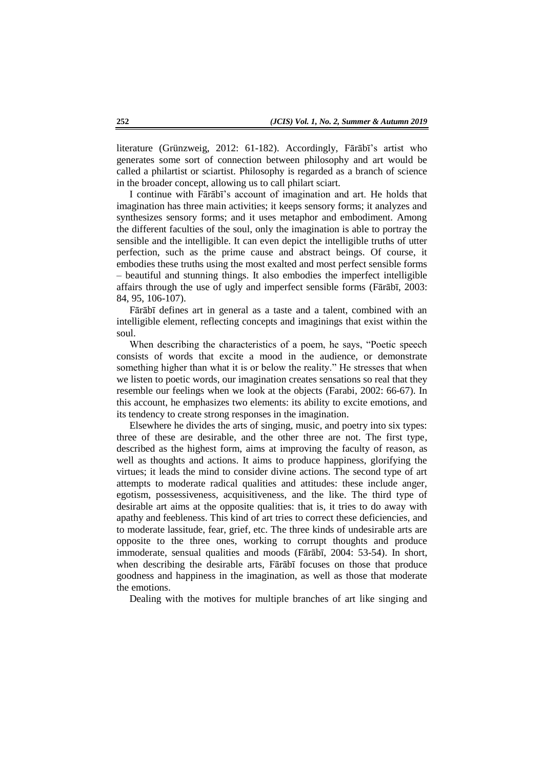literature (Grünzweig, 2012: 61-182). Accordingly, Fārābī's artist who generates some sort of connection between philosophy and art would be called a philartist or sciartist. Philosophy is regarded as a branch of science in the broader concept, allowing us to call philart sciart.

I continue with Fārābī's account of imagination and art. He holds that imagination has three main activities; it keeps sensory forms; it analyzes and synthesizes sensory forms; and it uses metaphor and embodiment. Among the different faculties of the soul, only the imagination is able to portray the sensible and the intelligible. It can even depict the intelligible truths of utter perfection, such as the prime cause and abstract beings. Of course, it embodies these truths using the most exalted and most perfect sensible forms – beautiful and stunning things. It also embodies the imperfect intelligible affairs through the use of ugly and imperfect sensible forms (Fārābī, 2003: 84, 95, 106-107).

Fārābī defines art in general as a taste and a talent, combined with an intelligible element, reflecting concepts and imaginings that exist within the soul.

When describing the characteristics of a poem, he says, "Poetic speech consists of words that excite a mood in the audience, or demonstrate something higher than what it is or below the reality." He stresses that when we listen to poetic words, our imagination creates sensations so real that they resemble our feelings when we look at the objects (Farabi, 2002: 66-67). In this account, he emphasizes two elements: its ability to excite emotions, and its tendency to create strong responses in the imagination.

Elsewhere he divides the arts of singing, music, and poetry into six types: three of these are desirable, and the other three are not. The first type, described as the highest form, aims at improving the faculty of reason, as well as thoughts and actions. It aims to produce happiness, glorifying the virtues; it leads the mind to consider divine actions. The second type of art attempts to moderate radical qualities and attitudes: these include anger, egotism, possessiveness, acquisitiveness, and the like. The third type of desirable art aims at the opposite qualities: that is, it tries to do away with apathy and feebleness. This kind of art tries to correct these deficiencies, and to moderate lassitude, fear, grief, etc. The three kinds of undesirable arts are opposite to the three ones, working to corrupt thoughts and produce immoderate, sensual qualities and moods (Fārābī, 2004: 53-54). In short, when describing the desirable arts, Fārābī focuses on those that produce goodness and happiness in the imagination, as well as those that moderate the emotions.

Dealing with the motives for multiple branches of art like singing and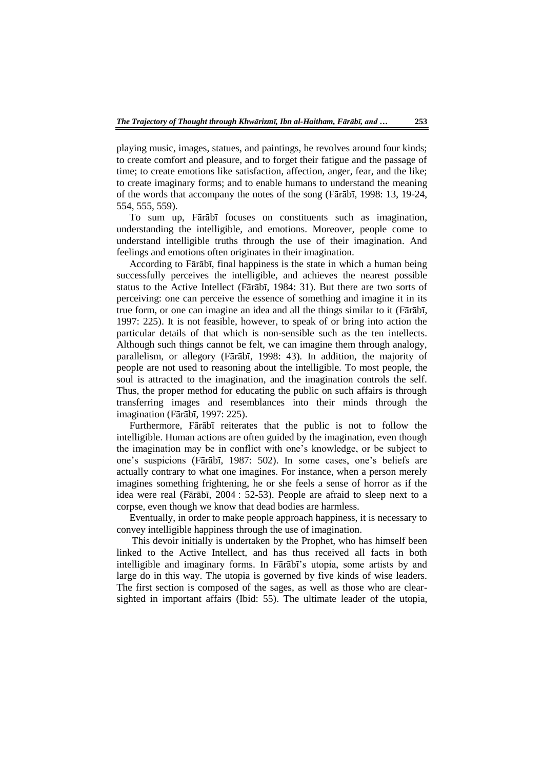playing music, images, statues, and paintings, he revolves around four kinds; to create comfort and pleasure, and to forget their fatigue and the passage of time; to create emotions like satisfaction, affection, anger, fear, and the like; to create imaginary forms; and to enable humans to understand the meaning of the words that accompany the notes of the song (Fārābī, 1998: 13, 19-24, 554, 555, 559).

To sum up, Fārābī focuses on constituents such as imagination, understanding the intelligible, and emotions. Moreover, people come to understand intelligible truths through the use of their imagination. And feelings and emotions often originates in their imagination.

According to Fārābī, final happiness is the state in which a human being successfully perceives the intelligible, and achieves the nearest possible status to the Active Intellect (Fārābī, 1984: 31). But there are two sorts of perceiving: one can perceive the essence of something and imagine it in its true form, or one can imagine an idea and all the things similar to it (Fārābī, 1997: 225). It is not feasible, however, to speak of or bring into action the particular details of that which is non-sensible such as the ten intellects. Although such things cannot be felt, we can imagine them through analogy, parallelism, or allegory (Fārābī, 1998: 43). In addition, the majority of people are not used to reasoning about the intelligible. To most people, the soul is attracted to the imagination, and the imagination controls the self. Thus, the proper method for educating the public on such affairs is through transferring images and resemblances into their minds through the imagination (Fārābī, 1997: 225).

Furthermore, Fārābī reiterates that the public is not to follow the intelligible. Human actions are often guided by the imagination, even though the imagination may be in conflict with one's knowledge, or be subject to one's suspicions (Fārābī, 1987: 502). In some cases, one's beliefs are actually contrary to what one imagines. For instance, when a person merely imagines something frightening, he or she feels a sense of horror as if the idea were real (Fārābī, 2004 : 52-53). People are afraid to sleep next to a corpse, even though we know that dead bodies are harmless.

Eventually, in order to make people approach happiness, it is necessary to convey intelligible happiness through the use of imagination.

This devoir initially is undertaken by the Prophet, who has himself been linked to the Active Intellect, and has thus received all facts in both intelligible and imaginary forms. In Fārābī's utopia, some artists by and large do in this way. The utopia is governed by five kinds of wise leaders. The first section is composed of the sages, as well as those who are clearsighted in important affairs (Ibid: 55). The ultimate leader of the utopia,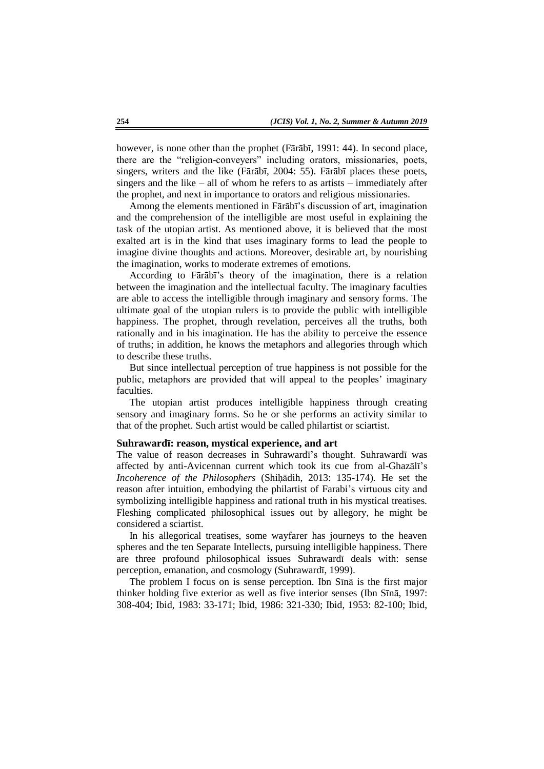however, is none other than the prophet (Fārābī, 1991: 44). In second place, there are the "religion-conveyers" including orators, missionaries, poets, singers, writers and the like (Fārābī, 2004: 55). Fārābī places these poets, singers and the like – all of whom he refers to as artists – immediately after the prophet, and next in importance to orators and religious missionaries.

Among the elements mentioned in Fārābī's discussion of art, imagination and the comprehension of the intelligible are most useful in explaining the task of the utopian artist. As mentioned above, it is believed that the most exalted art is in the kind that uses imaginary forms to lead the people to imagine divine thoughts and actions. Moreover, desirable art, by nourishing the imagination, works to moderate extremes of emotions.

According to Fārābī's theory of the imagination, there is a relation between the imagination and the intellectual faculty. The imaginary faculties are able to access the intelligible through imaginary and sensory forms. The ultimate goal of the utopian rulers is to provide the public with intelligible happiness. The prophet, through revelation, perceives all the truths, both rationally and in his imagination. He has the ability to perceive the essence of truths; in addition, he knows the metaphors and allegories through which to describe these truths.

But since intellectual perception of true happiness is not possible for the public, metaphors are provided that will appeal to the peoples' imaginary faculties.

The utopian artist produces intelligible happiness through creating sensory and imaginary forms. So he or she performs an activity similar to that of the prophet. Such artist would be called philartist or sciartist.

#### **Suhrawardī: reason, mystical experience, and art**

The value of reason decreases in Suhrawardī's thought. Suhrawardī was affected by anti-Avicennan current which took its cue from al-Ghazālī's *Incoherence of the Philosophers* (Shiḥādih, 2013: 135-174)*.* He set the reason after intuition, embodying the philartist of Farabi's virtuous city and symbolizing intelligible happiness and rational truth in his mystical treatises. Fleshing complicated philosophical issues out by allegory, he might be considered a sciartist.

In his allegorical treatises, some wayfarer has journeys to the heaven spheres and the ten Separate Intellects, pursuing intelligible happiness. There are three profound philosophical issues Suhrawardī deals with: sense perception, emanation, and cosmology (Suhrawardī, 1999).

The problem I focus on is sense perception. Ibn Sīnā is the first major thinker holding five exterior as well as five interior senses (Ibn Sīnā, 1997: 308-404; Ibid, 1983: 33-171; Ibid, 1986: 321-330; Ibid, 1953: 82-100; Ibid,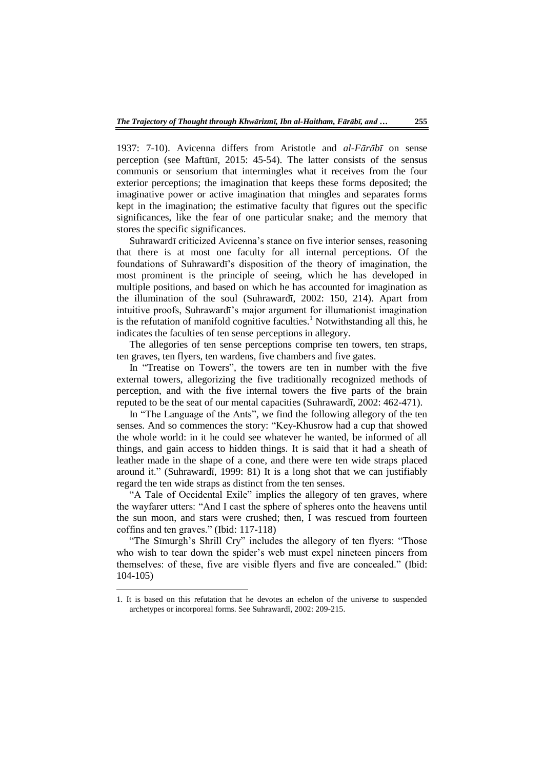1937: 7-10). Avicenna differs from Aristotle and *al-Fārābī* on sense perception (see Maftūnī, 2015: 45-54). The latter consists of the sensus communis or sensorium that intermingles what it receives from the four exterior perceptions; the imagination that keeps these forms deposited; the imaginative power or active imagination that mingles and separates forms kept in the imagination; the estimative faculty that figures out the specific significances, like the fear of one particular snake; and the memory that stores the specific significances.

Suhrawardī criticized Avicenna's stance on five interior senses, reasoning that there is at most one faculty for all internal perceptions. Of the foundations of Suhrawardī's disposition of the theory of imagination, the most prominent is the principle of seeing, which he has developed in multiple positions, and based on which he has accounted for imagination as the illumination of the soul (Suhrawardī, 2002: 150, 214). Apart from intuitive proofs, Suhrawardī's major argument for illumationist imagination is the refutation of manifold cognitive faculties.<sup>1</sup> Notwithstanding all this, he indicates the faculties of ten sense perceptions in allegory.

The allegories of ten sense perceptions comprise ten towers, ten straps, ten graves, ten flyers, ten wardens, five chambers and five gates.

In "Treatise on Towers", the towers are ten in number with the five external towers, allegorizing the five traditionally recognized methods of perception, and with the five internal towers the five parts of the brain reputed to be the seat of our mental capacities (Suhrawardī, 2002: 462-471).

In "The Language of the Ants", we find the following allegory of the ten senses. And so commences the story: "Key-Khusrow had a cup that showed the whole world: in it he could see whatever he wanted, be informed of all things, and gain access to hidden things. It is said that it had a sheath of leather made in the shape of a cone, and there were ten wide straps placed around it." (Suhrawardī, 1999: 81) It is a long shot that we can justifiably regard the ten wide straps as distinct from the ten senses.

"A Tale of Occidental Exile" implies the allegory of ten graves, where the wayfarer utters: "And I cast the sphere of spheres onto the heavens until the sun moon, and stars were crushed; then, I was rescued from fourteen coffins and ten graves.‖ (Ibid: 117-118)

"The Sīmurgh's Shrill Cry" includes the allegory of ten flyers: "Those who wish to tear down the spider's web must expel nineteen pincers from themselves: of these, five are visible flyers and five are concealed." (Ibid: 104-105)

 $\overline{\phantom{a}}$ 

<sup>1.</sup> It is based on this refutation that he devotes an echelon of the universe to suspended archetypes or incorporeal forms. See Suhrawardī, 2002: 209-215.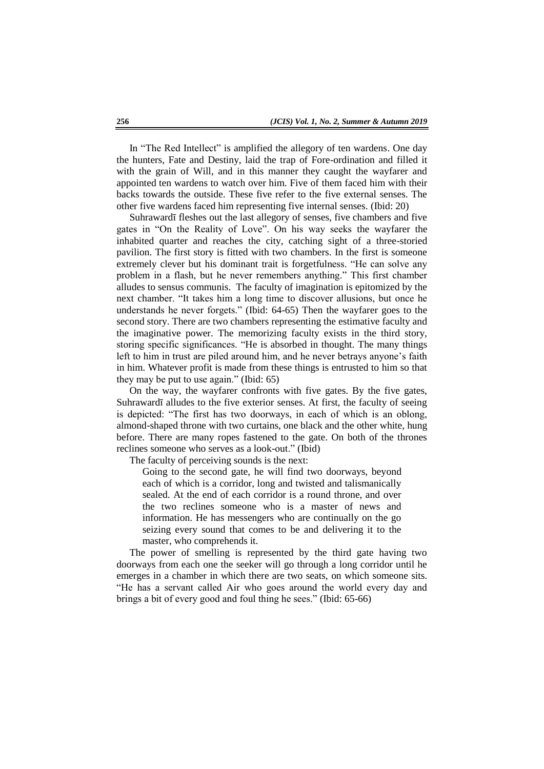In "The Red Intellect" is amplified the allegory of ten wardens. One day the hunters, Fate and Destiny, laid the trap of Fore-ordination and filled it with the grain of Will, and in this manner they caught the wayfarer and appointed ten wardens to watch over him. Five of them faced him with their backs towards the outside. These five refer to the five external senses. The other five wardens faced him representing five internal senses. (Ibid: 20)

Suhrawardī fleshes out the last allegory of senses, five chambers and five gates in "On the Reality of Love". On his way seeks the wayfarer the inhabited quarter and reaches the city, catching sight of a three-storied pavilion. The first story is fitted with two chambers. In the first is someone extremely clever but his dominant trait is forgetfulness. "He can solve any problem in a flash, but he never remembers anything." This first chamber alludes to sensus communis. The faculty of imagination is epitomized by the next chamber. "It takes him a long time to discover allusions, but once he understands he never forgets." (Ibid: 64-65) Then the wayfarer goes to the second story. There are two chambers representing the estimative faculty and the imaginative power. The memorizing faculty exists in the third story, storing specific significances. "He is absorbed in thought. The many things left to him in trust are piled around him, and he never betrays anyone's faith in him. Whatever profit is made from these things is entrusted to him so that they may be put to use again." (Ibid:  $65$ )

On the way, the wayfarer confronts with five gates. By the five gates, Suhrawardī alludes to the five exterior senses. At first, the faculty of seeing is depicted: "The first has two doorways, in each of which is an oblong, almond-shaped throne with two curtains, one black and the other white, hung before. There are many ropes fastened to the gate. On both of the thrones reclines someone who serves as a look-out." (Ibid)

The faculty of perceiving sounds is the next:

Going to the second gate, he will find two doorways, beyond each of which is a corridor, long and twisted and talismanically sealed. At the end of each corridor is a round throne, and over the two reclines someone who is a master of news and information. He has messengers who are continually on the go seizing every sound that comes to be and delivering it to the master, who comprehends it.

The power of smelling is represented by the third gate having two doorways from each one the seeker will go through a long corridor until he emerges in a chamber in which there are two seats, on which someone sits. "He has a servant called Air who goes around the world every day and brings a bit of every good and foul thing he sees." (Ibid: 65-66)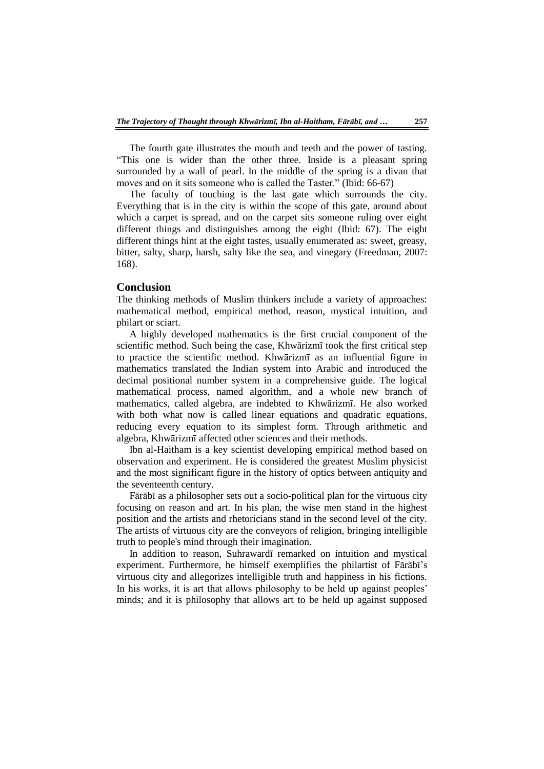The fourth gate illustrates the mouth and teeth and the power of tasting. ―This one is wider than the other three. Inside is a pleasant spring surrounded by a wall of pearl. In the middle of the spring is a divan that moves and on it sits someone who is called the Taster." (Ibid: 66-67)

The faculty of touching is the last gate which surrounds the city. Everything that is in the city is within the scope of this gate, around about which a carpet is spread, and on the carpet sits someone ruling over eight different things and distinguishes among the eight (Ibid: 67). The eight different things hint at the eight tastes, usually enumerated as: sweet, greasy, bitter, salty, sharp, harsh, salty like the sea, and vinegary (Freedman, 2007: 168).

# **Conclusion**

The thinking methods of Muslim thinkers include a variety of approaches: mathematical method, empirical method, reason, mystical intuition, and philart or sciart.

A highly developed mathematics is the first crucial component of the scientific method. Such being the case, Khwārizmī took the first critical step to practice the scientific method. Khwārizmī as an influential figure in mathematics translated the Indian system into Arabic and introduced the decimal positional number system in a comprehensive guide. The logical mathematical process, named algorithm, and a whole new branch of mathematics, called algebra, are indebted to Khwārizmī. He also worked with both what now is called linear equations and quadratic equations, reducing every equation to its simplest form. Through arithmetic and algebra, Khwārizmī affected other sciences and their methods.

Ibn al-Haitham is a key scientist developing empirical method based on observation and experiment. He is considered the greatest Muslim physicist and the most significant figure in the history of optics between antiquity and the seventeenth century.

Fārābī as a philosopher sets out a socio-political plan for the virtuous city focusing on reason and art. In his plan, the wise men stand in the highest position and the artists and rhetoricians stand in the second level of the city. The artists of virtuous city are the conveyors of religion, bringing intelligible truth to people's mind through their imagination.

In addition to reason, Suhrawardī remarked on intuition and mystical experiment. Furthermore, he himself exemplifies the philartist of Fārābī's virtuous city and allegorizes intelligible truth and happiness in his fictions. In his works, it is art that allows philosophy to be held up against peoples' minds; and it is philosophy that allows art to be held up against supposed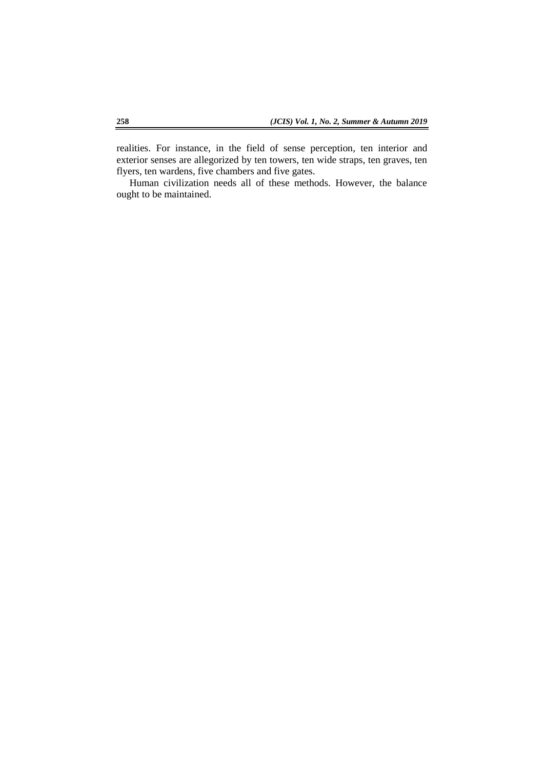realities. For instance, in the field of sense perception, ten interior and exterior senses are allegorized by ten towers, ten wide straps, ten graves, ten flyers, ten wardens, five chambers and five gates.

Human civilization needs all of these methods. However, the balance ought to be maintained.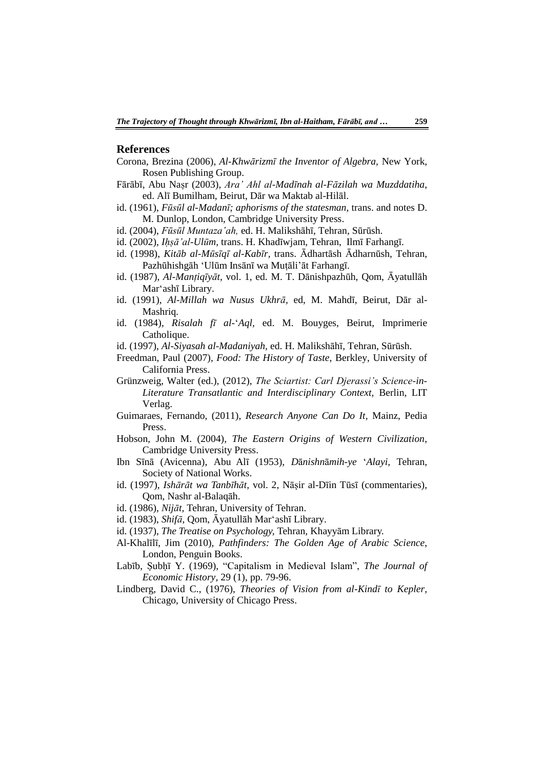### **References**

- Corona, Brezina (2006), *Al-Khwārizmī the Inventor of Algebra,* New York, Rosen Publishing Group.
- Fārābī, Abu Naṣr (2003), *Ara' Ahl al-Madīnah al-Fāzilah wa Muzddatiha,* ed. Alī Bumilham, Beirut, Dār wa Maktab al-Hilāl.
- id. (1961), *Fūsūl al-Madanī; aphorisms of the statesman,* trans. and notes D. M. Dunlop, London, Cambridge University Press.
- id. (2004), *Fūsūl Muntaza'ah,* ed. H. Malikshāhī, Tehran, Sūrūsh.
- id. (2002), *Iḥṣā'al-Ulūm,* trans. H. Khadīwjam, Tehran, Ilmī Farhangī.
- id. (1998), *Kitāb al-Mūsīqī al-Kabīr,* trans. Ādhartāsh Ādharnūsh, Tehran, Pazhūhishgāh ‗Ulūm Insānī wa Muṭāli'āt Farhangī.
- id. (1987), *Al-Manṭiqīyāt,* vol. 1, ed. M. T. Dānishpazhūh, Qom, Āyatullāh Mar'ashī Library.
- id. (1991), *Al-Millah wa Nusus Ukhrā,* ed, M. Mahdī, Beirut, Dār al-Mashriq*.*
- id. (1984), *Risalah fī al-*‗*Aql,* ed. M. Bouyges, Beirut, Imprimerie Catholique.
- id. (1997), *Al-Siyasah al-Madaniyah,* ed. H. Malikshāhī, Tehran, Sūrūsh.
- Freedman, Paul (2007), *Food: The History of Taste,* Berkley, University of California Press.
- Grünzweig, Walter (ed.), (2012), *The Sciartist: Carl Djerassi's Science-in-Literature Transatlantic and Interdisciplinary Context,* Berlin, LIT Verlag.
- Guimaraes, Fernando, (2011), *Research Anyone Can Do It,* Mainz, Pedia Press.
- Hobson, John M. (2004), *The Eastern Origins of Western Civilization*, Cambridge University Press.
- Ibn Sīnā (Avicenna), Abu Alī (1953), *D*ā*nishn*ā*mih-ye* ‗*Alayi,* Tehran, Society of National Works.
- id. (1997), *Ishārāt wa Tanbīhāt,* vol. 2, Nāṣir al-Dīin Tūsī (commentaries), Qom, Nashr al-Balaqāh.
- id. (1986), *Nijāt,* Tehran, University of Tehran.
- id. (1983), *Shifā,* Qom, Āyatullāh Mar‗ashī Library.
- id. (1937), *The Treatise on Psychology,* Tehran, Khayyām Library.
- Al-Khalīlī, Jim (2010), *Pathfinders: The Golden Age of Arabic Science*, London, Penguin Books.
- Labīb, Subhī Y. (1969), "Capitalism in Medieval Islam", *The Journal of Economic History,* 29 (1), pp. 79-96.
- Lindberg, David C., (1976), *Theories of Vision from al-Kindī to Kepler,* Chicago, University of Chicago Press.